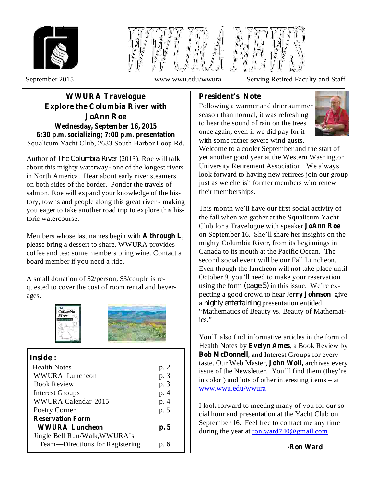



September 2015 www.wwu.edu/wwura Serving Retired Faculty and Staff

## Squalicum Yacht Club, 2633 South Harbor Loop Rd. **WWURA Travelogue Explore the Columbia River with JoAnn Roe Wednesday, September 16, 2015 6:30 p.m. socializing; 7:00 p.m. presentation**

Author of *The Columbia River* (2013), Roe will talk about this mighty waterway- one of the longest rivers in North America. Hear about early river steamers on both sides of the border. Ponder the travels of salmon. Roe will expand your knowledge of the history, towns and people along this great river - making you eager to take another road trip to explore this historic watercourse.

Members whose last names begin with A through L, please bring a dessert to share. WWURA provides coffee and tea; some members bring wine. Contact a board member if you need a ride.

A small donation of \$2/person, \$3/couple is requested to cover the cost of room rental and beverages.





# **Inside :**

| <b>Health Notes</b>             | p. 2 |
|---------------------------------|------|
| WWURA Luncheon                  | p. 3 |
|                                 |      |
| <b>Book Review</b>              | p. 3 |
| <b>Interest Groups</b>          | p. 4 |
| WWURA Calendar 2015             | p. 4 |
| Poetry Corner                   | p. 5 |
| <b>Reservation Form</b>         |      |
| <b>WWURA Luncheon</b>           | p.5  |
| Jingle Bell Run/Walk, WWURA's   |      |
| Team—Directions for Registering | p. 6 |

## **President's Note**

Following a warmer and drier summer season than normal, it was refreshing to hear the sound of rain on the trees once again, even if we did pay for it with some rather severe wind gusts.



Welcome to a cooler September and the start of yet another good year at the Western Washington University Retirement Association. We always look forward to having new retirees join our group just as we cherish former members who renew their memberships.

This month we'll have our first social activity of the fall when we gather at the Squalicum Yacht Club for a Travelogue with speaker **JoAnn Roe** on September 16. She'll share her insights on the mighty Columbia River, from its beginnings in Canada to its mouth at the Pacific Ocean. The second social event will be our Fall Luncheon. Even though the luncheon will not take place until October 9, you'll need to make your reservation using the form  $(page 5)$  in this issue. We're expecting a good crowd to hear Jerry **Johnson** give a *highly entertaining* presentation entitled, "Mathematics of Beauty vs. Beauty of Mathematics."

You'll also find informative articles in the form of Health Notes by Evelyn Ames, a Book Review by **Bob McDonnell**, and Interest Groups for every taste. Our Web Master, **John Woll**, archives every issue of the Newsletter. You'll find them (they're in color ) and lots of other interesting items – at www.wwu.edu/wwura

I look forward to meeting many of you for our social hour and presentation at the Yacht Club on September 16. Feel free to contact me any time during the year at ron.ward740@gmail.com

**-Ron Ward**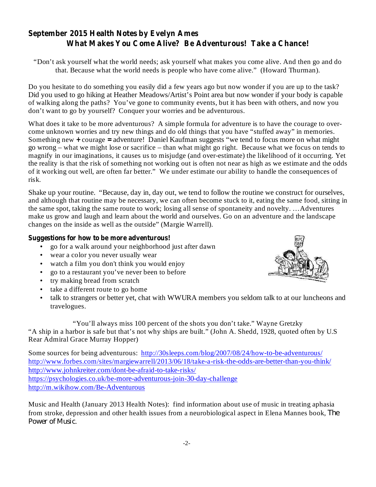# **September 2015 Health Notes by Evelyn Ames What Makes You Come Alive? Be Adventurous! Take a Chance!**

"Don't ask yourself what the world needs; ask yourself what makes you come alive. And then go and do that. Because what the world needs is people who have come alive." (Howard Thurman).

Do you hesitate to do something you easily did a few years ago but now wonder if you are up to the task? Did you used to go hiking at Heather Meadows/Artist's Point area but now wonder if your body is capable of walking along the paths? You've gone to community events, but it has been with others, and now you don't want to go by yourself? Conquer your worries and be adventurous.

Something new + courage = adventure! Daniel Kaufman suggests "we tend to focus more on what might What does it take to be more adventurous? A simple formula for adventure is to have the courage to overcome unknown worries and try new things and do old things that you have "stuffed away" in memories. go wrong – what we might lose or sacrifice – than what might go right. Because what we focus on tends to magnify in our imaginations, it causes us to misjudge (and over-estimate) the likelihood of it occurring. Yet the reality is that the risk of something not working out is often not near as high as we estimate and the odds of it working out well, are often far better." We under estimate our ability to handle the consequences of risk.

Shake up your routine. "Because, day in, day out, we tend to follow the routine we construct for ourselves, and although that routine may be necessary, we can often become stuck to it, eating the same food, sitting in the same spot, taking the same route to work; losing all sense of spontaneity and novelty. …Adventures make us grow and laugh and learn about the world and ourselves. Go on an adventure and the landscape changes on the inside as well as the outside" (Margie Warrell).

### **Suggestions for how to be more adventurous!**

- go for a walk around your neighborhood just after dawn •
- wear a color you never usually wear •
- watch a film you don't think you would enjoy •
- go to a restaurant you've never been to before
- try making bread from scratch •
- take a different route to go home •
- talk to strangers or better yet, chat with WWURA members you seldom talk to at our luncheons and travelogues. •

"You'll always miss 100 percent of the shots you don't take." Wayne Gretzky "A ship in a harbor is safe but that's not why ships are built." (John A. Shedd, 1928, quoted often by U.S Rear Admiral Grace Murray Hopper)

Some sources for being adventurous: http://30sleeps.com/blog/2007/08/24/how-to-be-adventurous/ http://www.forbes.com/sites/margiewarrell/2013/06/18/take-a-risk-the-odds-are-better-than-you-think/ http://www.johnkreiter.com/dont-be-afraid-to-take-risks/ https://psychologies.co.uk/be-more-adventurous-join-30-day-challenge http://m.wikihow.com/Be-Adventurous

Music and Health (January 2013 Health Notes): find information about use of music in treating aphasia from stroke, depression and other health issues from a neurobiological aspect in Elena Mannes book, *The* . *Power of Music*

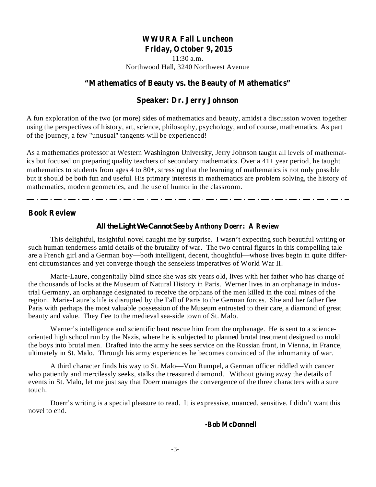## **WWURA Fall Luncheon Friday, October 9, 2015**

11:30 a.m. Northwood Hall, 3240 Northwest Avenue

### **"Mathematics of Beauty vs. the Beauty of Mathematics"**

### **Speaker: Dr. Jerry Johnson**

A fun exploration of the two (or more) sides of mathematics and beauty, amidst a discussion woven together using the perspectives of history, art, science, philosophy, psychology, and of course, mathematics. As part of the journey, a few "unusual" tangents will be experienced!

As a mathematics professor at Western Washington University, Jerry Johnson taught all levels of mathematics but focused on preparing quality teachers of secondary mathematics. Over a 41+ year period, he taught mathematics to students from ages 4 to 80+, stressing that the learning of mathematics is not only possible but it should be both fun and useful. His primary interests in mathematics are problem solving, the history of mathematics, modern geometries, and the use of humor in the classroom.

#### **Book Review**

#### **by Anthony Doerr: A Review** *All the Light We Cannot See*

This delightful, insightful novel caught me by surprise. I wasn't expecting such beautiful writing or such human tenderness amid details of the brutality of war. The two central figures in this compelling tale are a French girl and a German boy—both intelligent, decent, thoughtful—whose lives begin in quite different circumstances and yet converge though the senseless imperatives of World War II.

Marie-Laure, congenitally blind since she was six years old, lives with her father who has charge of the thousands of locks at the Museum of Natural History in Paris. Werner lives in an orphanage in industrial Germany, an orphanage designated to receive the orphans of the men killed in the coal mines of the region. Marie-Laure's life is disrupted by the Fall of Paris to the German forces. She and her father flee Paris with perhaps the most valuable possession of the Museum entrusted to their care, a diamond of great beauty and value. They flee to the medieval sea-side town of St. Malo.

Werner's intelligence and scientific bent rescue him from the orphanage. He is sent to a scienceoriented high school run by the Nazis, where he is subjected to planned brutal treatment designed to mold the boys into brutal men. Drafted into the army he sees service on the Russian front, in Vienna, in France, ultimately in St. Malo. Through his army experiences he becomes convinced of the inhumanity of war.

A third character finds his way to St. Malo—Von Rumpel, a German officer riddled with cancer who patiently and mercilessly seeks, stalks the treasured diamond. Without giving away the details of events in St. Malo, let me just say that Doerr manages the convergence of the three characters with a sure touch.

Doerr's writing is a special pleasure to read. It is expressive, nuanced, sensitive. I didn't want this novel to end.

#### **-Bob McDonnell**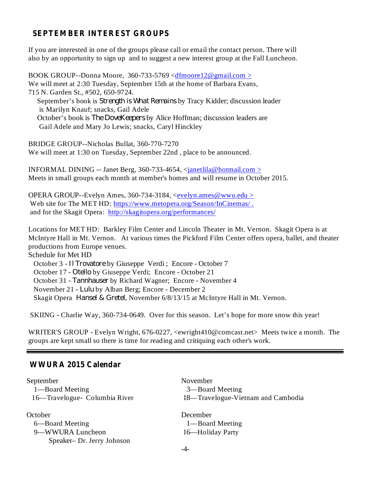## **SEPTEMBER INTEREST GROUPS**

If you are interested in one of the groups please call or email the contact person. There will also by an opportunity to sign up and to suggest a new interest group at the Fall Luncheon.

BOOK GROUP--Donna Moore, 360-733-5769 <dfmoore12@gmail.com > We will meet at 2:30 Tuesday, September 15th at the home of Barbara Evans, 715 N. Garden St., #502, 650-9724. September's book is *Strength is What Remains* by Tracy Kidder; discussion leader is Marilyn Knauf; snacks, Gail Adele October's book is *The DoveKeepers* by Alice Hoffman; discussion leaders are Gail Adele and Mary Jo Lewis; snacks, Caryl Hinckley

BRIDGE GROUP--Nicholas Bullat, 360-770-7270 We will meet at 1:30 on Tuesday, September 22nd , place to be announced.

INFORMAL DINING -- Janet Berg, 360-733-4654, <janetlila@hotmail.com > Meets in small groups each month at member's homes and will resume in October 2015.

OPERA GROUP--Evelyn Ames, 360-734-3184, <evelyn.ames@wwu.edu > Web site for The MET HD: https://www.metopera.org/Season/InCinemas/. and for the Skagit Opera: http://skagitopera.org/performances/

Locations for MET HD: Barkley Film Center and Lincoln Theater in Mt. Vernon. Skagit Opera is at McIntyre Hall in Mt. Vernon. At various times the Pickford Film Center offers opera, ballet, and theater productions from Europe venues.

Schedule for Met HD October 3 - *Il Trovatore* by Giuseppe Verdi ; Encore - October 7 October 17 - Otello by Giuseppe Verdi; Encore - October 21 October 31 - Tannhauser by Richard Wagner; Encore - November 4 November 21 - *Lulu* by Alban Berg; Encore - December 2 Skagit Opera *Hansel & Gretel*, November 6/8/13/15 at McIntyre Hall in Mt. Vernon.

SKIING - Charlie Way, 360-734-0649. Over for this season. Let's hope for more snow this year!

WRITER'S GROUP - Evelyn Wright, 676-0227, <ewright410@comcast.net> Meets twice a month. The groups are kept small so there is time for reading and critiquing each other's work.

## **WWURA 2015 Calendar**

| September                     | November                           |
|-------------------------------|------------------------------------|
| 1—Board Meeting               | 3—Board Meeting                    |
| 16—Travelogue- Columbia River | 18—Travelogue-Vietnam and Cambodia |
| October                       | December                           |
| 6—Board Meeting               | 1—Board Meeting                    |
| 9-WWURA Luncheon              | 16-Holiday Party                   |
| Speaker-Dr. Jerry Johnson     |                                    |
|                               |                                    |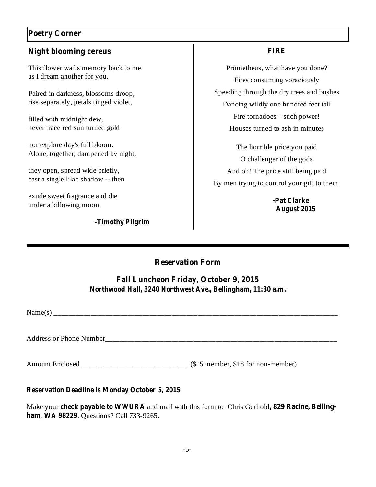# **Poetry Corner**

## **Night blooming cereus**

This flower wafts memory back to me as I dream another for you.

Paired in darkness, blossoms droop, rise separately, petals tinged violet,

filled with midnight dew, never trace red sun turned gold

nor explore day's full bloom. Alone, together, dampened by night,

they open, spread wide briefly, cast a single lilac shadow -- then

exude sweet fragrance and die under a billowing moon.

## **Timothy Pilgrim** -

### **FIRE**

Prometheus, what have you done? Fires consuming voraciously Speeding through the dry trees and bushes Dancing wildly one hundred feet tall Fire tornadoes – such power! Houses turned to ash in minutes

The horrible price you paid O challenger of the gods And oh! The price still being paid By men trying to control your gift to them.

> **-Pat Clarke August 2015**

## **Reservation Form**

## **Fall Luncheon Friday, October 9, 2015 Northwood Hall, 3240 Northwest Ave., Bellingham, 11:30 a.m.**

 $Name(s)$ 

Address or Phone Number\_\_\_\_\_\_\_\_\_\_\_\_\_\_\_\_\_\_\_\_\_\_\_\_\_\_\_\_\_\_\_\_\_\_\_\_\_\_\_\_\_\_\_\_\_\_\_\_\_\_\_\_\_\_\_\_\_\_\_\_\_\_\_

Amount Enclosed \_\_\_\_\_\_\_\_\_\_\_\_\_\_\_\_\_\_\_\_\_\_\_\_\_\_\_\_\_ (\$15 member, \$18 for non-member)

#### **Reservation Deadline is Monday October 5, 2015**

Make your check payable to WWURA and mail with this form to Chris Gerhold, 829 Racine, Bellingham, WA 98229. Questions? Call 733-9265.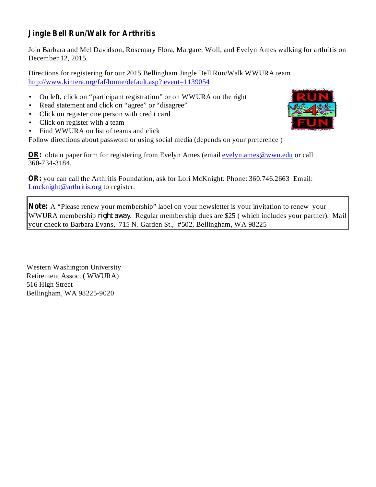# **Jingle Bell Run/Walk for Arthritis**

Join Barbara and Mel Davidson, Rosemary Flora, Margaret Woll, and Evelyn Ames walking for arthritis on December 12, 2015.

Directions for registering for our 2015 Bellingham Jingle Bell Run/Walk WWURA team http://www.kintera.org/faf/home/default.asp?ievent=1139054

- On left, click on "participant registration" or on WWURA on the right •
- Read statement and click on "agree" or "disagree" •
- Click on register one person with credit card •
- Click on register with a team •
- Find WWURA on list of teams and click •

Follow directions about password or using social media (depends on your preference )

OR: obtain paper form for registering from Evelyn Ames (email evelyn ames @wwu.edu or call 360-734-3184.

OR: you can call the Arthritis Foundation, ask for Lori McKnight: Phone: 360.746.2663 Email: Lmcknight@arthritis.org to register.

Note: A "Please renew your membership" label on your newsletter is your invitation to renew your WWURA membership *right away*. Regular membership dues are \$25 (which includes your partner). Mail your check to Barbara Evans, 715 N. Garden St., #502, Bellingham, WA 98225

Western Washington University Retirement Assoc. ( WWURA) 516 High Street Bellingham, WA 98225-9020